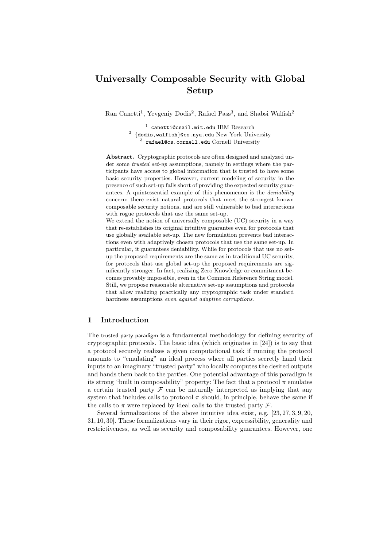# Universally Composable Security with Global Setup

Ran Canetti<sup>1</sup>, Yevgeniy Dodis<sup>2</sup>, Rafael Pass<sup>3</sup>, and Shabsi Walfish<sup>2</sup>

 $^1$  canetti@csail.mit.edu IBM Research  $^{2}$  {dodis, walfish}@cs.nyu.edu New York University  $^3$  rafael@cs.cornell.edu Cornell University

Abstract. Cryptographic protocols are often designed and analyzed under some *trusted set-up* assumptions, namely in settings where the participants have access to global information that is trusted to have some basic security properties. However, current modeling of security in the presence of such set-up falls short of providing the expected security guarantees. A quintessential example of this phenomenon is the deniability concern: there exist natural protocols that meet the strongest known composable security notions, and are still vulnerable to bad interactions with rogue protocols that use the same set-up.

We extend the notion of universally composable (UC) security in a way that re-establishes its original intuitive guarantee even for protocols that use globally available set-up. The new formulation prevents bad interactions even with adaptively chosen protocols that use the same set-up. In particular, it guarantees deniability. While for protocols that use no setup the proposed requirements are the same as in traditional UC security, for protocols that use global set-up the proposed requirements are significantly stronger. In fact, realizing Zero Knowledge or commitment becomes provably impossible, even in the Common Reference String model. Still, we propose reasonable alternative set-up assumptions and protocols that allow realizing practically any cryptographic task under standard hardness assumptions even against adaptive corruptions.

### 1 Introduction

The trusted party paradigm is a fundamental methodology for defining security of cryptographic protocols. The basic idea (which originates in [24]) is to say that a protocol securely realizes a given computational task if running the protocol amounts to "emulating" an ideal process where all parties secretly hand their inputs to an imaginary "trusted party" who locally computes the desired outputs and hands them back to the parties. One potential advantage of this paradigm is its strong "built in composability" property: The fact that a protocol  $\pi$  emulates a certain trusted party  $\mathcal F$  can be naturally interpreted as implying that any system that includes calls to protocol  $\pi$  should, in principle, behave the same if the calls to  $\pi$  were replaced by ideal calls to the trusted party  $\mathcal{F}$ .

Several formalizations of the above intuitive idea exist, e.g. [23, 27, 3, 9, 20, 31, 10, 30]. These formalizations vary in their rigor, expressibility, generality and restrictiveness, as well as security and composability guarantees. However, one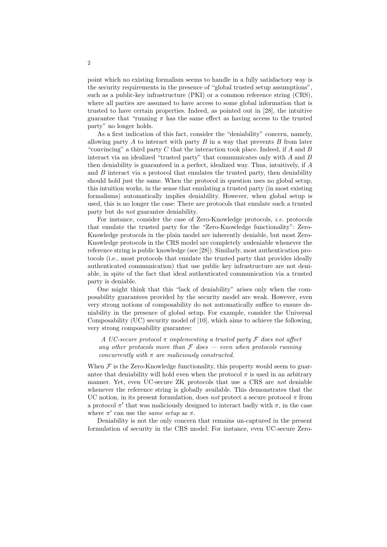point which no existing formalism seems to handle in a fully satisfactory way is the security requirements in the presence of "global trusted setup assumptions", such as a public-key infrastructure (PKI) or a common reference string (CRS), where all parties are assumed to have access to some global information that is trusted to have certain properties. Indeed, as pointed out in [28], the intuitive guarantee that "running  $\pi$  has the same effect as having access to the trusted party" no longer holds.

As a first indication of this fact, consider the "deniability" concern, namely, allowing party  $A$  to interact with party  $B$  in a way that prevents  $B$  from later "convincing" a third party  $C$  that the interaction took place. Indeed, if  $A$  and  $B$ interact via an idealized "trusted party" that communicates only with  $A$  and  $B$ then deniability is guaranteed in a perfect, idealized way. Thus, intuitively, if A and  $B$  interact via a protocol that emulates the trusted party, then deniability should hold just the same. When the protocol in question uses no global setup, this intuition works, in the sense that emulating a trusted party (in most existing formalisms) automatically implies deniability. However, when global setup is used, this is no longer the case: There are protocols that emulate such a trusted party but do not guarantee deniability.

For instance, consider the case of Zero-Knowledge protocols, i.e. protocols that emulate the trusted party for the "Zero-Knowledge functionality": Zero-Knowledge protocols in the plain model are inherently deniable, but most Zero-Knowledge protocols in the CRS model are completely undeniable whenever the reference string is public knowledge (see [28]). Similarly, most authentication protocols (i.e., most protocols that emulate the trusted party that provides ideally authenticated communication) that use public key infrastructure are not deniable, in spite of the fact that ideal authenticated communication via a trusted party is deniable.

One might think that this "lack of deniability" arises only when the composability guarantees provided by the security model are weak. However, even very strong notions of composability do not automatically suffice to ensure deniability in the presence of global setup. For example, consider the Universal Composability (UC) security model of [10], which aims to achieve the following, very strong composability guarantee:

A UC-secure protocol  $\pi$  implementing a trusted party  $\mathcal F$  does not affect any other protocols more than  $\mathcal F$  does — even when protocols running concurrently with  $\pi$  are maliciously constructed.

When  $\mathcal F$  is the Zero-Knowledge functionality, this property would seem to guarantee that deniability will hold even when the protocol  $\pi$  is used in an arbitrary manner. Yet, even UC-secure ZK protocols that use a CRS are not deniable whenever the reference string is globally available. This demonstrates that the UC notion, in its present formulation, does not protect a secure protocol  $\pi$  from a protocol  $\pi'$  that was maliciously designed to interact badly with  $\pi$ , in the case where  $\pi'$  can use the *same setup* as  $\pi$ .

Deniability is not the only concern that remains un-captured in the present formulation of security in the CRS model. For instance, even UC-secure Zero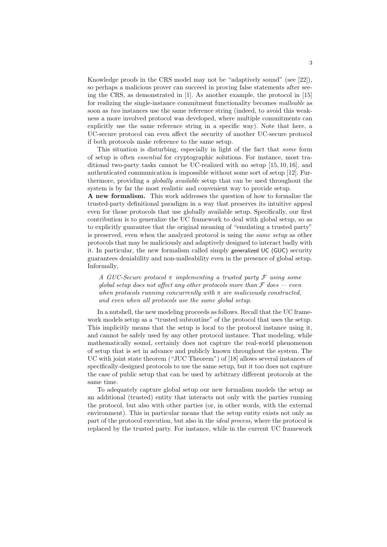Knowledge proofs in the CRS model may not be "adaptively sound" (see [22]), so perhaps a malicious prover can succeed in proving false statements after seeing the CRS, as demonstrated in [1]. As another example, the protocol in [15] for realizing the single-instance commitment functionality becomes malleable as soon as two instances use the same reference string (indeed, to avoid this weakness a more involved protocol was developed, where multiple commitments can explicitly use the same reference string in a specific way). Note that here, a UC-secure protocol can even affect the security of another UC-secure protocol if both protocols make reference to the same setup.

This situation is disturbing, especially in light of the fact that some form of setup is often essential for cryptographic solutions. For instance, most traditional two-party tasks cannot be UC-realized with no setup [15, 10, 16], and authenticated communication is impossible without some sort of setup [12]. Furthermore, providing a globally available setup that can be used throughout the system is by far the most realistic and convenient way to provide setup.

A new formalism. This work addresses the question of how to formalize the trusted-party definitional paradigm in a way that preserves its intuitive appeal even for those protocols that use globally available setup. Specifically, our first contribution is to generalize the UC framework to deal with global setup, so as to explicitly guarantee that the original meaning of "emulating a trusted party" is preserved, even when the analyzed protocol is using the same setup as other protocols that may be maliciously and adaptively designed to interact badly with it. In particular, the new formalism called simply generalized UC (GUC) security guarantees deniability and non-malleability even in the presence of global setup. Informally,

A GUC-Secure protocol  $\pi$  implementing a trusted party  $\mathcal F$  using some global setup does not affect any other protocols more than  $\mathcal F$  does  $-$  even when protocols running concurrently with  $\pi$  are maliciously constructed, and even when all protocols use the same global setup.

In a nutshell, the new modeling proceeds as follows. Recall that the UC framework models setup as a "trusted subroutine" of the protocol that uses the setup. This implicitly means that the setup is local to the protocol instance using it, and cannot be safely used by any other protocol instance. That modeling, while mathematically sound, certainly does not capture the real-world phenomenon of setup that is set in advance and publicly known throughout the system. The UC with joint state theorem ("JUC Theorem") of [18] allows several instances of specifically-designed protocols to use the same setup, but it too does not capture the case of public setup that can be used by arbitrary different protocols at the same time.

To adequately capture global setup our new formalism models the setup as an additional (trusted) entity that interacts not only with the parties running the protocol, but also with other parties (or, in other words, with the external environment). This in particular means that the setup entity exists not only as part of the protocol execution, but also in the ideal process, where the protocol is replaced by the trusted party. For instance, while in the current UC framework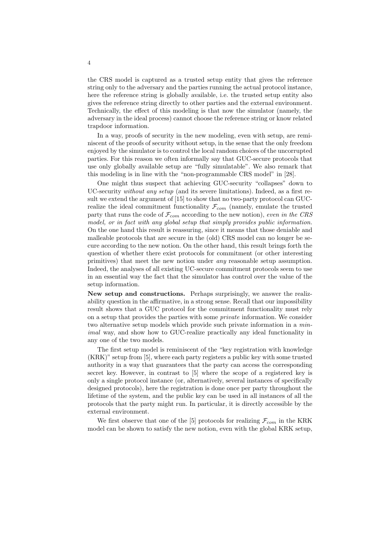the CRS model is captured as a trusted setup entity that gives the reference string only to the adversary and the parties running the actual protocol instance, here the reference string is globally available, i.e. the trusted setup entity also gives the reference string directly to other parties and the external environment. Technically, the effect of this modeling is that now the simulator (namely, the adversary in the ideal process) cannot choose the reference string or know related trapdoor information.

In a way, proofs of security in the new modeling, even with setup, are reminiscent of the proofs of security without setup, in the sense that the only freedom enjoyed by the simulator is to control the local random choices of the uncorrupted parties. For this reason we often informally say that GUC-secure protocols that use only globally available setup are "fully simulatable". We also remark that this modeling is in line with the "non-programmable CRS model" in [28].

One might thus suspect that achieving GUC-security "collapses" down to UC-security without any setup (and its severe limitations). Indeed, as a first result we extend the argument of [15] to show that no two-party protocol can GUCrealize the ideal commitment functionality  $\mathcal{F}_{com}$  (namely, emulate the trusted party that runs the code of  $\mathcal{F}_{com}$  according to the new notion), even in the CRS model, or in fact with any global setup that simply provides public information. On the one hand this result is reassuring, since it means that those deniable and malleable protocols that are secure in the (old) CRS model can no longer be secure according to the new notion. On the other hand, this result brings forth the question of whether there exist protocols for commitment (or other interesting primitives) that meet the new notion under any reasonable setup assumption. Indeed, the analyses of all existing UC-secure commitment protocols seem to use in an essential way the fact that the simulator has control over the value of the setup information.

New setup and constructions. Perhaps surprisingly, we answer the realizability question in the affirmative, in a strong sense. Recall that our impossibility result shows that a GUC protocol for the commitment functionality must rely on a setup that provides the parties with some private information. We consider two alternative setup models which provide such private information in a minimal way, and show how to GUC-realize practically any ideal functionality in any one of the two models.

The first setup model is reminiscent of the "key registration with knowledge (KRK)" setup from [5], where each party registers a public key with some trusted authority in a way that guarantees that the party can access the corresponding secret key. However, in contrast to [5] where the scope of a registered key is only a single protocol instance (or, alternatively, several instances of specifically designed protocols), here the registration is done once per party throughout the lifetime of the system, and the public key can be used in all instances of all the protocols that the party might run. In particular, it is directly accessible by the external environment.

We first observe that one of the [5] protocols for realizing  $\mathcal{F}_{com}$  in the KRK model can be shown to satisfy the new notion, even with the global KRK setup,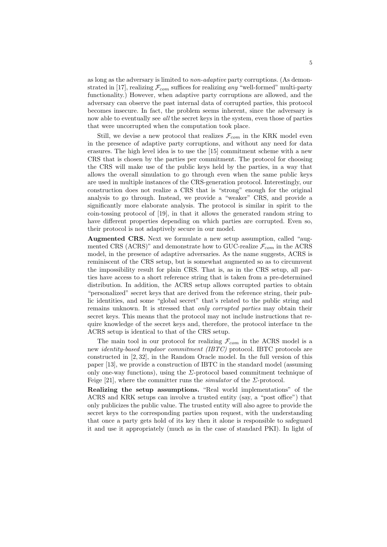as long as the adversary is limited to non-adaptive party corruptions. (As demonstrated in [17], realizing  $\mathcal{F}_{com}$  suffices for realizing any "well-formed" multi-party functionality.) However, when adaptive party corruptions are allowed, and the adversary can observe the past internal data of corrupted parties, this protocol becomes insecure. In fact, the problem seems inherent, since the adversary is now able to eventually see *all* the secret keys in the system, even those of parties that were uncorrupted when the computation took place.

Still, we devise a new protocol that realizes  $\mathcal{F}_{com}$  in the KRK model even in the presence of adaptive party corruptions, and without any need for data erasures. The high level idea is to use the [15] commitment scheme with a new CRS that is chosen by the parties per commitment. The protocol for choosing the CRS will make use of the public keys held by the parties, in a way that allows the overall simulation to go through even when the same public keys are used in multiple instances of the CRS-generation protocol. Interestingly, our construction does not realize a CRS that is "strong" enough for the original analysis to go through. Instead, we provide a "weaker" CRS, and provide a significantly more elaborate analysis. The protocol is similar in spirit to the coin-tossing protocol of [19], in that it allows the generated random string to have different properties depending on which parties are corrupted. Even so, their protocol is not adaptively secure in our model.

Augmented CRS. Next we formulate a new setup assumption, called "augmented CRS (ACRS)" and demonstrate how to GUC-realize  $\mathcal{F}_{com}$  in the ACRS model, in the presence of adaptive adversaries. As the name suggests, ACRS is reminiscent of the CRS setup, but is somewhat augmented so as to circumvent the impossibility result for plain CRS. That is, as in the CRS setup, all parties have access to a short reference string that is taken from a pre-determined distribution. In addition, the ACRS setup allows corrupted parties to obtain "personalized" secret keys that are derived from the reference string, their public identities, and some "global secret" that's related to the public string and remains unknown. It is stressed that only corrupted parties may obtain their secret keys. This means that the protocol may not include instructions that require knowledge of the secret keys and, therefore, the protocol interface tn the ACRS setup is identical to that of the CRS setup.

The main tool in our protocol for realizing  $\mathcal{F}_{com}$  in the ACRS model is a new identity-based trapdoor commitment (IBTC) protocol. IBTC protocols are constructed in [2, 32], in the Random Oracle model. In the full version of this paper [13], we provide a construction of IBTC in the standard model (assuming only one-way functions), using the  $\Sigma$ -protocol based commitment technique of Feige [21], where the committer runs the *simulator* of the  $\Sigma$ -protocol.

Realizing the setup assumptions. "Real world implementations" of the ACRS and KRK setups can involve a trusted entity (say, a "post office") that only publicizes the public value. The trusted entity will also agree to provide the secret keys to the corresponding parties upon request, with the understanding that once a party gets hold of its key then it alone is responsible to safeguard it and use it appropriately (much as in the case of standard PKI). In light of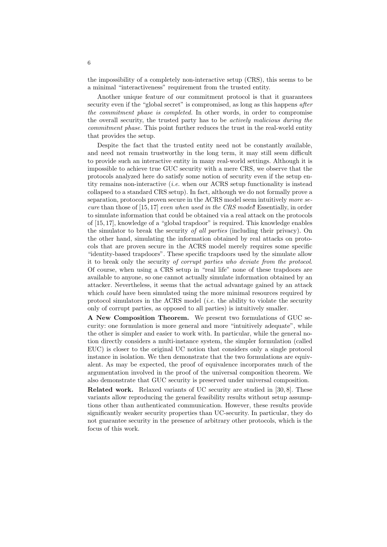the impossibility of a completely non-interactive setup (CRS), this seems to be a minimal "interactiveness" requirement from the trusted entity.

Another unique feature of our commitment protocol is that it guarantees security even if the "global secret" is compromised, as long as this happens *after* the commitment phase is completed. In other words, in order to compromise the overall security, the trusted party has to be actively malicious during the commitment phase. This point further reduces the trust in the real-world entity that provides the setup.

Despite the fact that the trusted entity need not be constantly available, and need not remain trustworthy in the long term, it may still seem difficult to provide such an interactive entity in many real-world settings. Although it is impossible to achieve true GUC security with a mere CRS, we observe that the protocols analyzed here do satisfy some notion of security even if the setup entity remains non-interactive (*i.e.* when our ACRS setup functionality is instead collapsed to a standard CRS setup). In fact, although we do not formally prove a separation, protocols proven secure in the ACRS model seem intuitively more secure than those of [15, 17] even when used in the CRS model! Essentially, in order to simulate information that could be obtained via a real attack on the protocols of [15, 17], knowledge of a "global trapdoor" is required. This knowledge enables the simulator to break the security of all parties (including their privacy). On the other hand, simulating the information obtained by real attacks on protocols that are proven secure in the ACRS model merely requires some specific "identity-based trapdoors". These specific trapdoors used by the simulate allow it to break only the security of corrupt parties who deviate from the protocol. Of course, when using a CRS setup in "real life" none of these trapdoors are available to anyone, so one cannot actually simulate information obtained by an attacker. Nevertheless, it seems that the actual advantage gained by an attack which *could* have been simulated using the more minimal resources required by protocol simulators in the ACRS model (*i.e.* the ability to violate the security only of corrupt parties, as opposed to all parties) is intuitively smaller.

A New Composition Theorem. We present two formulations of GUC security: one formulation is more general and more "intuitively adequate", while the other is simpler and easier to work with. In particular, while the general notion directly considers a multi-instance system, the simpler formulation (called EUC) is closer to the original UC notion that considers only a single protocol instance in isolation. We then demonstrate that the two formulations are equivalent. As may be expected, the proof of equivalence incorporates much of the argumentation involved in the proof of the universal composition theorem. We also demonstrate that GUC security is preserved under universal composition.

Related work. Relaxed variants of UC security are studied in [30, 8]. These variants allow reproducing the general feasibility results without setup assumptions other than authenticated communication. However, these results provide significantly weaker security properties than UC-security. In particular, they do not guarantee security in the presence of arbitrary other protocols, which is the focus of this work.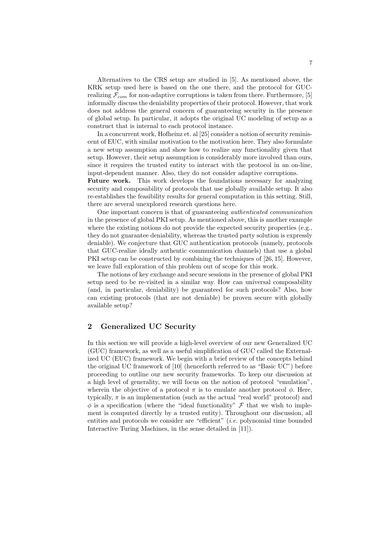Alternatives to the CRS setup are studied in [5]. As mentioned above, the KRK setup used here is based on the one there, and the protocol for GUCrealizing  $\mathcal{F}_{com}$  for non-adaptive corruptions is taken from there. Furthermore, [5] informally discuss the deniability properties of their protocol. However, that work does not address the general concern of guaranteeing security in the presence of global setup. In particular, it adopts the original UC modeling of setup as a construct that is internal to each protocol instance.

In a concurrent work, Hofheinz et. al [25] consider a notion of security reminiscent of EUC, with similar motivation to the motivation here. They also formulate a new setup assumption and show how to realize any functionality given that setup. However, their setup assumption is considerably more involved than ours, since it requires the trusted entity to interact with the protocol in an on-line, input-dependent manner. Also, they do not consider adaptive corruptions.

Future work. This work develops the foundations necessary for analyzing security and composability of protocols that use globally available setup. It also re-establishes the feasibility results for general computation in this setting. Still, there are several unexplored research questions here.

One important concern is that of guaranteeing authenticated communication in the presence of global PKI setup. As mentioned above, this is another example where the existing notions do not provide the expected security properties (e.g., they do not guarantee deniability, whereas the trusted party solution is expressly deniable). We conjecture that GUC authentication protocols (namely, protocols that GUC-realize ideally authentic communication channels) that use a global PKI setup can be constructed by combining the techniques of [26, 15]. However, we leave full exploration of this problem out of scope for this work.

The notions of key exchange and secure sessions in the presence of global PKI setup need to be re-visited in a similar way. How can universal composability (and, in particular, deniability) be guaranteed for such protocols? Also, how can existing protocols (that are not deniable) be proven secure with globally available setup?

### 2 Generalized UC Security

In this section we will provide a high-level overview of our new Generalized UC (GUC) framework, as well as a useful simplification of GUC called the Externalized UC (EUC) framework. We begin with a brief review of the concepts behind the original UC framework of [10] (henceforth referred to as "Basic UC") before proceeding to outline our new security frameworks. To keep our discussion at a high level of generality, we will focus on the notion of protocol "emulation", wherein the objective of a protocol  $\pi$  is to emulate another protocol  $\phi$ . Here, typically,  $\pi$  is an implementation (such as the actual "real world" protocol) and  $\phi$  is a specification (where the "ideal functionality"  $\mathcal F$  that we wish to implement is computed directly by a trusted entity). Throughout our discussion, all entities and protocols we consider are "efficient"  $(i.e.$  polynomial time bounded Interactive Turing Machines, in the sense detailed in [11]).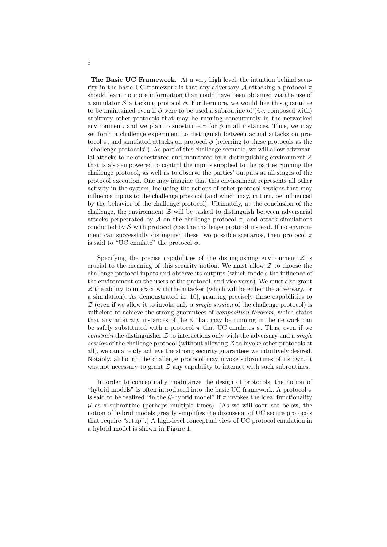The Basic UC Framework. At a very high level, the intuition behind security in the basic UC framework is that any adversary A attacking a protocol  $\pi$ should learn no more information than could have been obtained via the use of a simulator S attacking protocol  $\phi$ . Furthermore, we would like this guarantee to be maintained even if  $\phi$  were to be used a subroutine of (*i.e.* composed with) arbitrary other protocols that may be running concurrently in the networked environment, and we plan to substitute  $\pi$  for  $\phi$  in all instances. Thus, we may set forth a challenge experiment to distinguish between actual attacks on protocol  $\pi$ , and simulated attacks on protocol  $\phi$  (referring to these protocols as the "challenge protocols"). As part of this challenge scenario, we will allow adversarial attacks to be orchestrated and monitored by a distinguishing environment  $\mathcal Z$ that is also empowered to control the inputs supplied to the parties running the challenge protocol, as well as to observe the parties' outputs at all stages of the protocol execution. One may imagine that this environment represents all other activity in the system, including the actions of other protocol sessions that may influence inputs to the challenge protocol (and which may, in turn, be influenced by the behavior of the challenge protocol). Ultimately, at the conclusion of the challenge, the environment  $\mathcal Z$  will be tasked to distinguish between adversarial attacks perpetrated by  $\mathcal A$  on the challenge protocol  $\pi$ , and attack simulations conducted by S with protocol  $\phi$  as the challenge protocol instead. If no environment can successfully distinguish these two possible scenarios, then protocol  $\pi$ is said to "UC emulate" the protocol  $\phi$ .

Specifying the precise capabilities of the distinguishing environment  $\mathcal Z$  is crucial to the meaning of this security notion. We must allow  $\mathcal Z$  to choose the challenge protocol inputs and observe its outputs (which models the influence of the environment on the users of the protocol, and vice versa). We must also grant  $Z$  the ability to interact with the attacker (which will be either the adversary, or a simulation). As demonstrated in [10], granting precisely these capabilities to  $Z$  (even if we allow it to invoke only a *single session* of the challenge protocol) is sufficient to achieve the strong guarantees of *composition theorem*, which states that any arbitrary instances of the  $\phi$  that may be running in the network can be safely substituted with a protocol  $\pi$  that UC emulates  $\phi$ . Thus, even if we constrain the distinguisher  $\mathcal Z$  to interactions only with the adversary and a single session of the challenge protocol (without allowing  $\mathcal Z$  to invoke other protocols at all), we can already achieve the strong security guarantees we intuitively desired. Notably, although the challenge protocol may invoke subroutines of its own, it was not necessary to grant  $Z$  any capability to interact with such subroutines.

In order to conceptually modularize the design of protocols, the notion of "hybrid models" is often introduced into the basic UC framework. A protocol  $\pi$ is said to be realized "in the G-hybrid model" if  $\pi$  invokes the ideal functionality  $\mathcal G$  as a subroutine (perhaps multiple times). (As we will soon see below, the notion of hybrid models greatly simplifies the discussion of UC secure protocols that require "setup".) A high-level conceptual view of UC protocol emulation in a hybrid model is shown in Figure 1.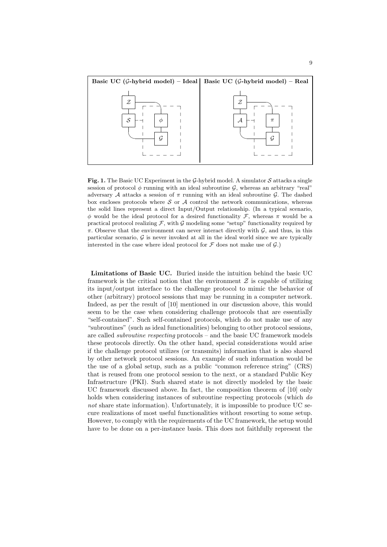

**Fig. 1.** The Basic UC Experiment in the G-hybrid model. A simulator S attacks a single session of protocol  $\phi$  running with an ideal subroutine  $\mathcal{G}$ , whereas an arbitrary "real" adversary A attacks a session of  $\pi$  running with an ideal subroutine G. The dashed box encloses protocols where  $S$  or  $A$  control the network communications, whereas the solid lines represent a direct Input/Output relationship. (In a typical scenario,  $\phi$  would be the ideal protocol for a desired functionality F, whereas  $\pi$  would be a practical protocol realizing  $\mathcal{F}$ , with  $\mathcal G$  modeling some "setup" functionality required by  $\pi$ . Observe that the environment can never interact directly with  $\mathcal{G}$ , and thus, in this particular scenario,  $G$  is never invoked at all in the ideal world since we are typically interested in the case where ideal protocol for  $\mathcal F$  does not make use of  $\mathcal G$ .)

Limitations of Basic UC. Buried inside the intuition behind the basic UC framework is the critical notion that the environment  $\mathcal Z$  is capable of utilizing its input/output interface to the challenge protocol to mimic the behavior of other (arbitrary) protocol sessions that may be running in a computer network. Indeed, as per the result of [10] mentioned in our discussion above, this would seem to be the case when considering challenge protocols that are essentially "self-contained". Such self-contained protocols, which do not make use of any "subroutines" (such as ideal functionalities) belonging to other protocol sessions, are called subroutine respecting protocols – and the basic UC framework models these protocols directly. On the other hand, special considerations would arise if the challenge protocol utilizes (or transmits) information that is also shared by other network protocol sessions. An example of such information would be the use of a global setup, such as a public "common reference string" (CRS) that is reused from one protocol session to the next, or a standard Public Key Infrastructure (PKI). Such shared state is not directly modeled by the basic UC framework discussed above. In fact, the composition theorem of [10] only holds when considering instances of subroutine respecting protocols (which do not share state information). Unfortunately, it is impossible to produce UC secure realizations of most useful functionalities without resorting to some setup. However, to comply with the requirements of the UC framework, the setup would have to be done on a per-instance basis. This does not faithfully represent the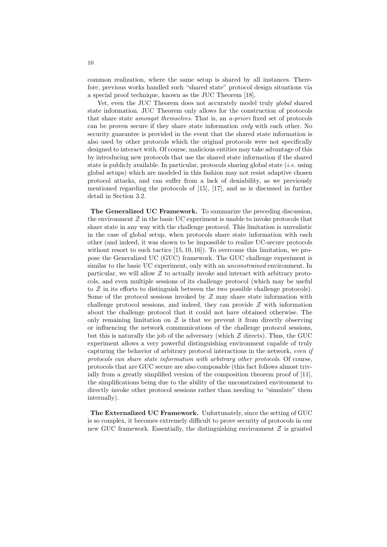common realization, where the same setup is shared by all instances. Therefore, previous works handled such "shared state" protocol design situations via a special proof technique, known as the JUC Theorem [18].

Yet, even the JUC Theorem does not accurately model truly global shared state information. JUC Theorem only allows for the construction of protocols that share state amongst themselves. That is, an a-priori fixed set of protocols can be proven secure if they share state information only with each other. No security guarantee is provided in the event that the shared state information is also used by other protocols which the original protocols were not specifically designed to interact with. Of course, malicious entities may take advantage of this by introducing new protocols that use the shared state information if the shared state is publicly available. In particular, protocols sharing global state (i.e. using global setups) which are modeled in this fashion may not resist adaptive chosen protocol attacks, and can suffer from a lack of deniability, as we previously mentioned regarding the protocols of [15], [17], and as is discussed in further detail in Section 3.2.

The Generalized UC Framework. To summarize the preceding discussion, the environment  $\mathcal Z$  in the basic UC experiment is unable to invoke protocols that share state in any way with the challenge protocol. This limitation is unrealistic in the case of global setup, when protocols share state information with each other (and indeed, it was shown to be impossible to realize UC-secure protocols without resort to such tactics  $[15, 10, 16]$ . To overcome this limitation, we propose the Generalized UC (GUC) framework. The GUC challenge experiment is similar to the basic UC experiment, only with an *unconstrained* environment. In particular, we will allow  $Z$  to actually invoke and interact with arbitrary protocols, and even multiple sessions of its challenge protocol (which may be useful to  $Z$  in its efforts to distinguish between the two possible challenge protocols). Some of the protocol sessions invoked by  $\mathcal Z$  may share state information with challenge protocol sessions, and indeed, they can provide  $\mathcal Z$  with information about the challenge protocol that it could not have obtained otherwise. The only remaining limitation on  $\mathcal Z$  is that we prevent it from directly observing or influencing the network communications of the challenge protocol sessions, but this is naturally the job of the adversary (which  $\mathcal Z$  directs). Thus, the GUC experiment allows a very powerful distinguishing environment capable of truly capturing the behavior of arbitrary protocol interactions in the network, even if protocols can share state information with arbitrary other protocols. Of course, protocols that are GUC secure are also composable (this fact follows almost trivially from a greatly simplified version of the composition theorem proof of [11], the simplifications being due to the ability of the unconstrained environment to directly invoke other protocol sessions rather than needing to "simulate" them internally).

The Externalized UC Framework. Unfortunately, since the setting of GUC is so complex, it becomes extremely difficult to prove security of protocols in our new GUC framework. Essentially, the distinguishing environment  $\mathcal Z$  is granted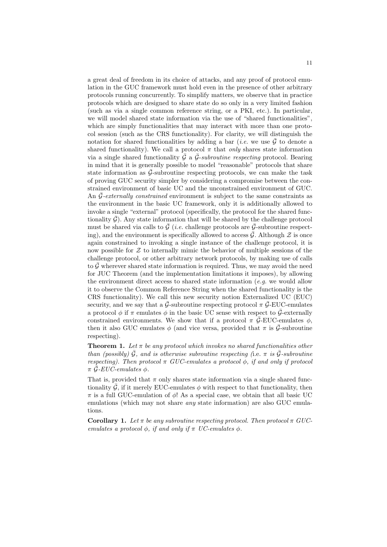a great deal of freedom in its choice of attacks, and any proof of protocol emulation in the GUC framework must hold even in the presence of other arbitrary protocols running concurrently. To simplify matters, we observe that in practice protocols which are designed to share state do so only in a very limited fashion (such as via a single common reference string, or a PKI, etc.). In particular, we will model shared state information via the use of "shared functionalities", which are simply functionalities that may interact with more than one protocol session (such as the CRS functionality). For clarity, we will distinguish the notation for shared functionalities by adding a bar *(i.e.* we use  $\mathcal G$  to denote a shared functionality). We call a protocol  $\pi$  that *only* shares state information via a single shared functionality  $\bar{\mathcal{G}}$  a  $\bar{\mathcal{G}}$ -subroutine respecting protocol. Bearing in mind that it is generally possible to model "reasonable" protocols that share state information as  $\mathcal{G}\text{-subroutine}\,$  respecting protocols, we can make the task of proving GUC security simpler by considering a compromise between the constrained environment of basic UC and the unconstrained environment of GUC. An  $\bar{G}$ -externally constrained environment is subject to the same constraints as the environment in the basic UC framework, only it is additionally allowed to invoke a single "external" protocol (specifically, the protocol for the shared functionality  $\bar{G}$ ). Any state information that will be shared by the challenge protocol must be shared via calls to  $\bar{\mathcal{G}}$  (*i.e.* challenge protocols are  $\bar{\mathcal{G}}$ -subroutine respecting), and the environment is specifically allowed to access  $\mathcal{\bar{G}}$ . Although  $\mathcal{Z}$  is once again constrained to invoking a single instance of the challenge protocol, it is now possible for  $\mathcal Z$  to internally mimic the behavior of multiple sessions of the challenge protocol, or other arbitrary network protocols, by making use of calls to  $\bar{\mathcal{G}}$  wherever shared state information is required. Thus, we may avoid the need for JUC Theorem (and the implementation limitations it imposes), by allowing the environment direct access to shared state information  $(e.g.,\omega)$  we would allow it to observe the Common Reference String when the shared functionality is the CRS functionality). We call this new security notion Externalized UC (EUC) security, and we say that a  $\bar{G}$ -subroutine respecting protocol  $\pi \bar{G}$ -EUC-emulates a protocol  $\phi$  if  $\pi$  emulates  $\phi$  in the basic UC sense with respect to  $\bar{\mathcal{G}}$ -externally constrained environments. We show that if a protocol  $\pi \bar{G}$ -EUC-emulates  $\phi$ , then it also GUC emulates  $\phi$  (and vice versa, provided that  $\pi$  is  $\bar{G}$ -subroutine respecting).

**Theorem 1.** Let  $\pi$  be any protocol which invokes no shared functionalities other than (possibly)  $\overline{G}$ , and is otherwise subroutine respecting (i.e.  $\pi$  is  $\overline{G}$ -subroutine respecting). Then protocol  $\pi$  GUC-emulates a protocol  $\phi$ , if and only if protocol  $\pi \bar{G}$ -EUC-emulates  $\phi$ .

That is, provided that  $\pi$  only shares state information via a single shared functionality  $\bar{G}$ , if it merely EUC-emulates  $\phi$  with respect to that functionality, then  $\pi$  is a full GUC-emulation of  $\phi$ ! As a special case, we obtain that all basic UC emulations (which may not share *any* state information) are also GUC emulations.

**Corollary 1.** Let  $\pi$  be any subroutine respecting protocol. Then protocol  $\pi$  GUCemulates a protocol  $\phi$ , if and only if  $\pi$  UC-emulates  $\phi$ .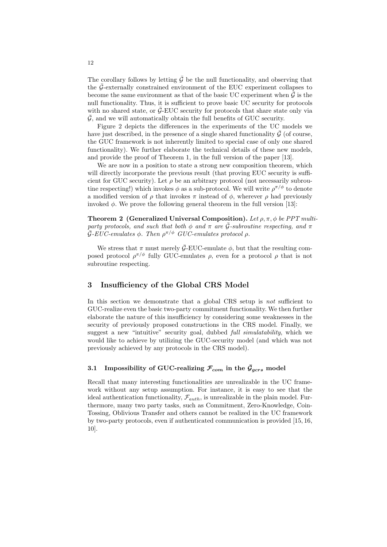The corollary follows by letting  $\bar{\mathcal{G}}$  be the null functionality, and observing that the  $\mathcal{G}\text{-externally constrained environment of the EUC experiment collapses to }$ become the same environment as that of the basic UC experiment when  $\bar{G}$  is the null functionality. Thus, it is sufficient to prove basic UC security for protocols with no shared state, or  $G$ -EUC security for protocols that share state only via  $\bar{G}$ , and we will automatically obtain the full benefits of GUC security.

Figure 2 depicts the differences in the experiments of the UC models we have just described, in the presence of a single shared functionality  $\bar{\mathcal{G}}$  (of course, the GUC framework is not inherently limited to special case of only one shared functionality). We further elaborate the technical details of these new models, and provide the proof of Theorem 1, in the full version of the paper [13].

We are now in a position to state a strong new composition theorem, which will directly incorporate the previous result (that proving EUC security is sufficient for GUC security). Let  $\rho$  be an arbitrary protocol (not necessarily subroutine respecting!) which invokes  $\phi$  as a sub-protocol. We will write  $\rho^{\pi/\phi}$  to denote a modified version of  $\rho$  that invokes  $\pi$  instead of  $\phi$ , wherever  $\rho$  had previously invoked  $\phi$ . We prove the following general theorem in the full version [13]:

**Theorem 2 (Generalized Universal Composition).** Let  $\rho$ ,  $\pi$ ,  $\phi$  be PPT multiparty protocols, and such that both  $\phi$  and  $\pi$  are  $\bar{\mathcal{G}}$ -subroutine respecting, and  $\pi$  $\bar{\mathcal{G}}$ -EUC-emulates  $\phi$ . Then  $\rho^{\pi/\phi}$  GUC-emulates protocol  $\rho$ .

We stress that  $\pi$  must merely  $\bar{G}$ -EUC-emulate  $\phi$ , but that the resulting composed protocol  $\rho^{\pi/\phi}$  fully GUC-emulates  $\rho$ , even for a protocol  $\rho$  that is not subroutine respecting.

### 3 Insufficiency of the Global CRS Model

In this section we demonstrate that a global CRS setup is not sufficient to GUC-realize even the basic two-party commitment functionality. We then further elaborate the nature of this insufficiency by considering some weaknesses in the security of previously proposed constructions in the CRS model. Finally, we suggest a new "intuitive" security goal, dubbed *full simulatability*, which we would like to achieve by utilizing the GUC-security model (and which was not previously achieved by any protocols in the CRS model).

# 3.1 Impossibility of GUC-realizing  $\mathcal{F}_{com}$  in the  $\bar{\mathcal{G}}_{acrs}$  model

Recall that many interesting functionalities are unrealizable in the UC framework without any setup assumption. For instance, it is easy to see that the ideal authentication functionality,  $\mathcal{F}_{auth}$ , is unrealizable in the plain model. Furthermore, many two party tasks, such as Commitment, Zero-Knowledge, Coin-Tossing, Oblivious Transfer and others cannot be realized in the UC framework by two-party protocols, even if authenticated communication is provided [15, 16, 10].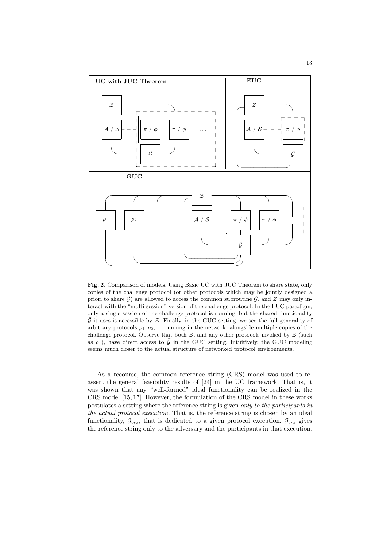

Fig. 2. Comparison of models. Using Basic UC with JUC Theorem to share state, only copies of the challenge protocol (or other protocols which may be jointly designed a priori to share  $\mathcal{G}$ ) are allowed to access the common subroutine  $\mathcal{G}$ , and  $\mathcal{Z}$  may only interact with the "multi-session" version of the challenge protocol. In the EUC paradigm, only a single session of the challenge protocol is running, but the shared functionality  $\bar{\mathcal{G}}$  it uses is accessible by Z. Finally, in the GUC setting, we see the full generality of arbitrary protocols  $\rho_1, \rho_2, \ldots$  running in the network, alongside multiple copies of the challenge protocol. Observe that both  $\mathcal{Z}$ , and any other protocols invoked by  $\mathcal{Z}$  (such as  $\rho_1$ ), have direct access to  $\bar{\mathcal{G}}$  in the GUC setting. Intuitively, the GUC modeling seems much closer to the actual structure of networked protocol environments.

As a recourse, the common reference string (CRS) model was used to reassert the general feasibility results of [24] in the UC framework. That is, it was shown that any "well-formed" ideal functionality can be realized in the CRS model [15, 17]. However, the formulation of the CRS model in these works postulates a setting where the reference string is given only to the participants in the actual protocol execution. That is, the reference string is chosen by an ideal functionality,  $\mathcal{G}_{crs}$ , that is dedicated to a given protocol execution.  $\mathcal{G}_{crs}$  gives the reference string only to the adversary and the participants in that execution.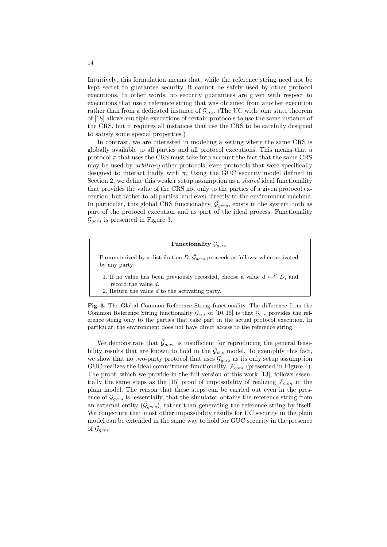Intuitively, this formulation means that, while the reference string need not be kept secret to guarantee security, it cannot be safely used by other protocol executions. In other words, no security guarantees are given with respect to executions that use a reference string that was obtained from another execution rather than from a dedicated instance of  $\mathcal{G}_{crs}$ . (The UC with joint state theorem of [18] allows multiple executions of certain protocols to use the same instance of the CRS, but it requires all instances that use the CRS to be carefully designed to satisfy some special properties.)

In contrast, we are interested in modeling a setting where the same CRS is globally available to all parties and all protocol executions. This means that a protocol  $\pi$  that uses the CRS must take into account the fact that the same CRS may be used by *arbitrary* other protocols, even protocols that were specifically designed to interact badly with  $\pi$ . Using the GUC security model defined in Section 2, we define this weaker setup assumption as a *shared* ideal functionality that provides the value of the CRS not only to the parties of a given protocol execution, but rather to all parties, and even directly to the environment machine. In particular, this global CRS functionality,  $\bar{\mathcal{G}}_{gcrs}$ , exists in the system both as part of the protocol execution and as part of the ideal process. Functionality  $\bar{\mathcal{G}}_{gcrs}$  is presented in Figure 3.

## Functionality  $\bar{\mathcal{G}}_{qcrs}$

Parameterized by a distribution  $D, \bar{\mathcal{G}}_{gcrs}$  proceeds as follows, when activated by any party:

- 1. If no value has been previously recorded, choose a value  $d \leftarrow^R D$ , and record the value d.
- 2. Return the value d to the activating party.

Fig. 3. The Global Common Reference String functionality. The difference from the Common Reference String functionality  $\mathcal{G}_{crs}$  of [10, 15] is that  $\mathcal{G}_{crs}$  provides the reference string only to the parties that take part in the actual protocol execution. In particular, the environment does not have direct access to the reference string.

We demonstrate that  $\bar{\mathcal{G}}_{gcrs}$  is insufficient for reproducing the general feasibility results that are known to hold in the  $\mathcal{G}_{crs}$  model. To exemplify this fact, we show that no two-party protocol that uses  $\bar{\mathcal{G}}_{gcrs}$  as its only setup assumption GUC-realizes the ideal commitment functionality,  $\mathcal{F}_{com}$  (presented in Figure 4). The proof, which we provide in the full version of this work [13], follows essentially the same steps as the [15] proof of impossibility of realizing  $\mathcal{F}_{com}$  in the plain model. The reason that these steps can be carried out even in the presence of  $\bar{\mathcal{G}}_{gcrs}$  is, essentially, that the simulator obtains the reference string from an external entity  $(\bar{G}_{gcrs})$ , rather than generating the reference string by itself. We conjecture that most other impossibility results for UC security in the plain model can be extended in the same way to hold for GUC security in the presence of  $\bar{\mathcal{G}}_{gcrs}$ .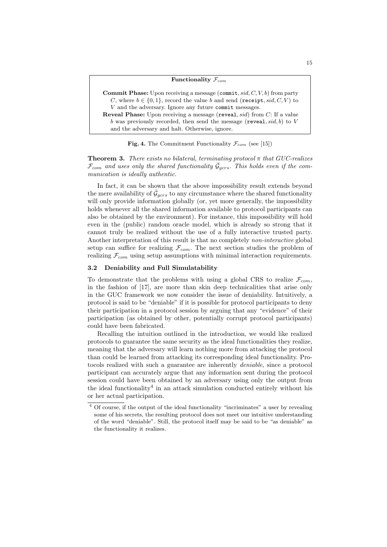| Functionality $\mathcal{F}_{com}$                                                        |
|------------------------------------------------------------------------------------------|
| <b>Commit Phase:</b> Upon receiving a message (commit, sid, $C, V, b$ ) from party       |
| C, where $b \in \{0,1\}$ , record the value b and send (receipt, sid, C, V) to           |
| $V$ and the adversary. Ignore any future commit messages.                                |
| <b>Reveal Phase:</b> Upon receiving a message ( $reveal$ , $sid$ ) from $C$ : If a value |
| b was previously recorded, then send the message (reveal, sid, b) to V                   |
| and the adversary and halt. Otherwise, ignore.                                           |

**Fig. 4.** The Commitment Functionality  $\mathcal{F}_{com}$  (see [15])

**Theorem 3.** There exists no bilateral, terminating protocol  $\pi$  that GUC-realizes  $\mathcal{F}_{com}$  and uses only the shared functionality  $\bar{\mathcal{G}}_{gcrs}$ . This holds even if the communication is ideally authentic.

In fact, it can be shown that the above impossibility result extends beyond the mere availability of  $\bar{\mathcal{G}}_{gcrs}$  to any circumstance where the shared functionality will only provide information globally (or, yet more generally, the impossibility holds whenever all the shared information available to protocol participants can also be obtained by the environment). For instance, this impossibility will hold even in the (public) random oracle model, which is already so strong that it cannot truly be realized without the use of a fully interactive trusted party. Another interpretation of this result is that no completely non-interactive global setup can suffice for realizing  $\mathcal{F}_{com}$ . The next section studies the problem of realizing  $\mathcal{F}_{com}$  using setup assumptions with minimal interaction requirements.

### 3.2 Deniability and Full Simulatability

To demonstrate that the problems with using a global CRS to realize  $\mathcal{F}_{com}$ , in the fashion of [17], are more than skin deep technicalities that arise only in the GUC framework we now consider the issue of deniability. Intuitively, a protocol is said to be "deniable" if it is possible for protocol participants to deny their participation in a protocol session by arguing that any "evidence" of their participation (as obtained by other, potentially corrupt protocol participants) could have been fabricated.

Recalling the intuition outlined in the introduction, we would like realized protocols to guarantee the same security as the ideal functionalities they realize, meaning that the adversary will learn nothing more from attacking the protocol than could be learned from attacking its corresponding ideal functionality. Protocols realized with such a guarantee are inherently deniable, since a protocol participant can accurately argue that any information sent during the protocol session could have been obtained by an adversary using only the output from the ideal functionality<sup>4</sup> in an attack simulation conducted entirely without his or her actual participation.

<sup>4</sup> Of course, if the output of the ideal functionality "incriminates" a user by revealing some of his secrets, the resulting protocol does not meet our intuitive understanding of the word "deniable". Still, the protocol itself may be said to be "as deniable" as the functionality it realizes.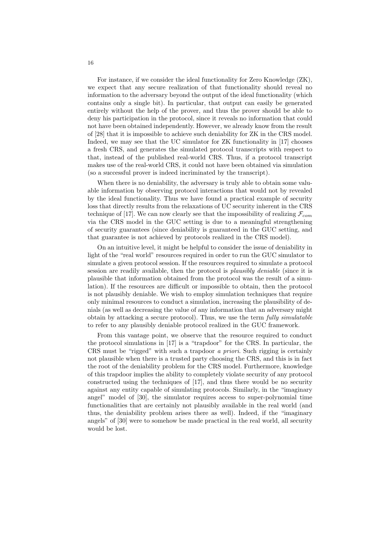For instance, if we consider the ideal functionality for Zero Knowledge (ZK), we expect that any secure realization of that functionality should reveal no information to the adversary beyond the output of the ideal functionality (which contains only a single bit). In particular, that output can easily be generated entirely without the help of the prover, and thus the prover should be able to deny his participation in the protocol, since it reveals no information that could not have been obtained independently. However, we already know from the result of [28] that it is impossible to achieve such deniability for ZK in the CRS model. Indeed, we may see that the UC simulator for ZK functionality in [17] chooses a fresh CRS, and generates the simulated protocol transcripts with respect to that, instead of the published real-world CRS. Thus, if a protocol transcript makes use of the real-world CRS, it could not have been obtained via simulation (so a successful prover is indeed incriminated by the transcript).

When there is no deniability, the adversary is truly able to obtain some valuable information by observing protocol interactions that would not by revealed by the ideal functionality. Thus we have found a practical example of security loss that directly results from the relaxations of UC security inherent in the CRS technique of [17]. We can now clearly see that the impossibility of realizing  $\mathcal{F}_{com}$ via the CRS model in the GUC setting is due to a meaningful strengthening of security guarantees (since deniability is guaranteed in the GUC setting, and that guarantee is not achieved by protocols realized in the CRS model).

On an intuitive level, it might be helpful to consider the issue of deniability in light of the "real world" resources required in order to run the GUC simulator to simulate a given protocol session. If the resources required to simulate a protocol session are readily available, then the protocol is *plausibly deniable* (since it is plausible that information obtained from the protocol was the result of a simulation). If the resources are difficult or impossible to obtain, then the protocol is not plausibly deniable. We wish to employ simulation techniques that require only minimal resources to conduct a simulation, increasing the plausibility of denials (as well as decreasing the value of any information that an adversary might obtain by attacking a secure protocol). Thus, we use the term fully simulatable to refer to any plausibly deniable protocol realized in the GUC framework.

From this vantage point, we observe that the resource required to conduct the protocol simulations in [17] is a "trapdoor" for the CRS. In particular, the CRS must be "rigged" with such a trapdoor a priori. Such rigging is certainly not plausible when there is a trusted party choosing the CRS, and this is in fact the root of the deniability problem for the CRS model. Furthermore, knowledge of this trapdoor implies the ability to completely violate security of any protocol constructed using the techniques of [17], and thus there would be no security against any entity capable of simulating protocols. Similarly, in the "imaginary angel" model of [30], the simulator requires access to super-polynomial time functionalities that are certainly not plausibly available in the real world (and thus, the deniability problem arises there as well). Indeed, if the "imaginary angels" of [30] were to somehow be made practical in the real world, all security would be lost.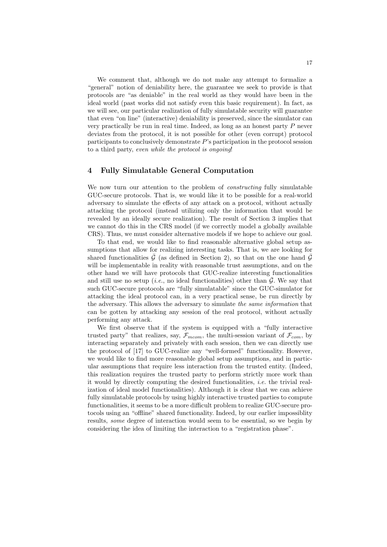We comment that, although we do not make any attempt to formalize a "general" notion of deniability here, the guarantee we seek to provide is that protocols are "as deniable" in the real world as they would have been in the ideal world (past works did not satisfy even this basic requirement). In fact, as we will see, our particular realization of fully simulatable security will guarantee that even "on line" (interactive) deniability is preserved, since the simulator can very practically be run in real time. Indeed, as long as an honest party P never deviates from the protocol, it is not possible for other (even corrupt) protocol participants to conclusively demonstrate  $P$ 's participation in the protocol session to a third party, even while the protocol is ongoing!

# 4 Fully Simulatable General Computation

We now turn our attention to the problem of *constructing* fully simulatable GUC-secure protocols. That is, we would like it to be possible for a real-world adversary to simulate the effects of any attack on a protocol, without actually attacking the protocol (instead utilizing only the information that would be revealed by an ideally secure realization). The result of Section 3 implies that we cannot do this in the CRS model (if we correctly model a globally available CRS). Thus, we must consider alternative models if we hope to achieve our goal.

To that end, we would like to find reasonable alternative global setup assumptions that allow for realizing interesting tasks. That is, we are looking for shared functionalities G (as defined in Section 2), so that on the one hand G will be implementable in reality with reasonable trust assumptions, and on the other hand we will have protocols that GUC-realize interesting functionalities and still use no setup (*i.e.*, no ideal functionalities) other than  $\mathcal{G}$ . We say that such GUC-secure protocols are "fully simulatable" since the GUC-simulator for attacking the ideal protocol can, in a very practical sense, be run directly by the adversary. This allows the adversary to simulate the same information that can be gotten by attacking any session of the real protocol, without actually performing any attack.

We first observe that if the system is equipped with a "fully interactive trusted party" that realizes, say,  $\mathcal{F}_{mcom}$ , the multi-session variant of  $\mathcal{F}_{com}$ , by interacting separately and privately with each session, then we can directly use the protocol of [17] to GUC-realize any "well-formed" functionality. However, we would like to find more reasonable global setup assumptions, and in particular assumptions that require less interaction from the trusted entity. (Indeed, this realization requires the trusted party to perform strictly more work than it would by directly computing the desired functionalities, i.e. the trivial realization of ideal model functionalities). Although it is clear that we can achieve fully simulatable protocols by using highly interactive trusted parties to compute functionalities, it seems to be a more difficult problem to realize GUC-secure protocols using an "offline" shared functionality. Indeed, by our earlier impossiblity results, some degree of interaction would seem to be essential, so we begin by considering the idea of limiting the interaction to a "registration phase".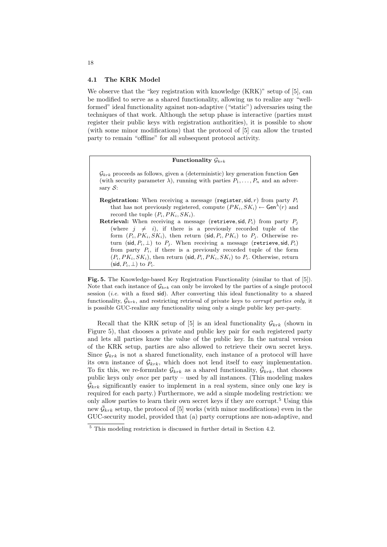#### 4.1 The KRK Model

We observe that the "key registration with knowledge (KRK)" setup of [5], can be modified to serve as a shared functionality, allowing us to realize any "wellformed" ideal functionality against non-adaptive ("static") adversaries using the techniques of that work. Although the setup phase is interactive (parties must register their public keys with registration authorities), it is possible to show (with some minor modifications) that the protocol of [5] can allow the trusted party to remain "offline" for all subsequent protocol activity.

#### Functionality  $\mathcal{G}_{krk}$

 $\mathcal{G}_{krk}$  proceeds as follows, given a (deterministic) key generation function Gen (with security parameter  $\lambda$ ), running with parties  $P_1, \ldots, P_n$  and an adversary  $S$ :

- **Registration:** When receiving a message (register, sid, r) from party  $P_i$ that has not previously registered, compute  $(PK_i, SK_i) \leftarrow \mathsf{Gen}^{\lambda}(r)$  and record the tuple  $(P_i, PK_i, SK_i)$ .
- **Retrieval:** When receiving a message (retrieve, sid,  $P_i$ ) from party  $P_j$ (where  $j \neq i$ ), if there is a previously recorded tuple of the form  $(P_i, PK_i, SK_i)$ , then return  $(\text{sid}, P_i, PK_i)$  to  $P_j$ . Otherwise return (sid,  $P_i$ ,  $\perp$ ) to  $P_j$ . When receiving a message (retrieve, sid,  $P_i$ ) from party  $P_i$ , if there is a previously recorded tuple of the form  $(P_i, PK_i, SK_i)$ , then return (sid,  $P_i, PK_i, SK_i$ ) to  $P_i$ . Otherwise, return  $(\text{sid}, P_i, \perp)$  to  $P_i$ .

Fig. 5. The Knowledge-based Key Registration Functionality (similar to that of [5]). Note that each instance of  $\mathcal{G}_{krk}$  can only be invoked by the parties of a single protocol session (*i.e.* with a fixed sid). After converting this ideal functionality to a shared functionality,  $\bar{\mathcal{G}}_{krk}$ , and restricting retrieval of private keys to *corrupt parties only*, it is possible GUC-realize any functionality using only a single public key per-party.

Recall that the KRK setup of [5] is an ideal functionality  $\mathcal{G}_{krk}$  (shown in Figure 5), that chooses a private and public key pair for each registered party and lets all parties know the value of the public key. In the natural version of the KRK setup, parties are also allowed to retrieve their own secret keys. Since  $\mathcal{G}_{krk}$  is not a shared functionality, each instance of a protocol will have its own instance of  $\mathcal{G}_{krk}$ , which does not lend itself to easy implementation. To fix this, we re-formulate  $\mathcal{G}_{krk}$  as a shared functionality,  $\overline{\mathcal{G}}_{krk}$ , that chooses public keys only once per party – used by all instances. (This modeling makes  $\bar{\mathcal{G}}_{krk}$  significantly easier to implement in a real system, since only one key is required for each party.) Furthermore, we add a simple modeling restriction: we only allow parties to learn their own secret keys if they are corrupt.<sup>5</sup> Using this new  $\bar{G}_{krk}$  setup, the protocol of [5] works (with minor modifications) even in the GUC-security model, provided that (a) party corruptions are non-adaptive, and

18

 $5$  This modeling restriction is discussed in further detail in Section 4.2.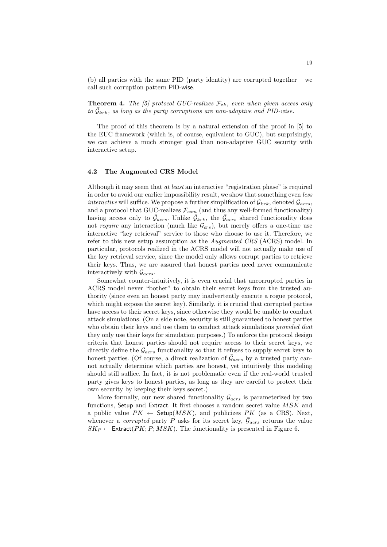(b) all parties with the same PID (party identity) are corrupted together – we call such corruption pattern PID-wise.

**Theorem 4.** The [5] protocol GUC-realizes  $\mathcal{F}_{zk}$ , even when given access only to  $\bar{\mathcal{G}}_{krk}$ , as long as the party corruptions are non-adaptive and PID-wise.

The proof of this theorem is by a natural extension of the proof in [5] to the EUC framework (which is, of course, equivalent to GUC), but surprisingly, we can achieve a much stronger goal than non-adaptive GUC security with interactive setup.

#### 4.2 The Augmented CRS Model

Although it may seem that at least an interactive "registration phase" is required in order to avoid our earlier impossibility result, we show that something even less interactive will suffice. We propose a further simplification of  $\bar{\mathcal{G}}_{krk}$ , denoted  $\bar{\mathcal{G}}_{acrs}$ , and a protocol that GUC-realizes  $\mathcal{F}_{com}$  (and thus any well-formed functionality) having access only to  $\bar{\mathcal{G}}_{acrs}$ . Unlike  $\bar{\mathcal{G}}_{krk}$ , the  $\bar{\mathcal{G}}_{acrs}$  shared functionality does not require any interaction (much like  $\mathcal{G}_{crs}$ ), but merely offers a one-time use interactive "key retrieval" service to those who choose to use it. Therefore, we refer to this new setup assumption as the *Augmented CRS* (ACRS) model. In particular, protocols realized in the ACRS model will not actually make use of the key retrieval service, since the model only allows corrupt parties to retrieve their keys. Thus, we are assured that honest parties need never communicate interactively with  $\bar{\mathcal{G}}_{acrs}$ .

Somewhat counter-intuitively, it is even crucial that uncorrupted parties in ACRS model never "bother" to obtain their secret keys from the trusted authority (since even an honest party may inadvertently execute a rogue protocol, which might expose the secret key). Similarly, it is crucial that corrupted parties have access to their secret keys, since otherwise they would be unable to conduct attack simulations. (On a side note, security is still guaranteed to honest parties who obtain their keys and use them to conduct attack simulations *provided that* they only use their keys for simulation purposes.) To enforce the protocol design criteria that honest parties should not require access to their secret keys, we directly define the  $\bar{g}_{acrs}$  functionality so that it refuses to supply secret keys to honest parties. (Of course, a direct realization of  $\bar{\mathcal{G}}_{acrs}$  by a trusted party cannot actually determine which parties are honest, yet intuitively this modeling should still suffice. In fact, it is not problematic even if the real-world trusted party gives keys to honest parties, as long as they are careful to protect their own security by keeping their keys secret.)

More formally, our new shared functionality  $\bar{\mathcal{G}}_{acrs}$  is parameterized by two functions, Setup and Extract. It first chooses a random secret value  $MSK$  and a public value  $PK \leftarrow$  Setup(*MSK*), and publicizes PK (as a CRS). Next, whenever a *corrupted* party P asks for its secret key,  $\bar{\mathcal{G}}_{acrs}$  returns the value  $SK_P \leftarrow$  Extract( $PK; P; MSK$ ). The functionality is presented in Figure 6.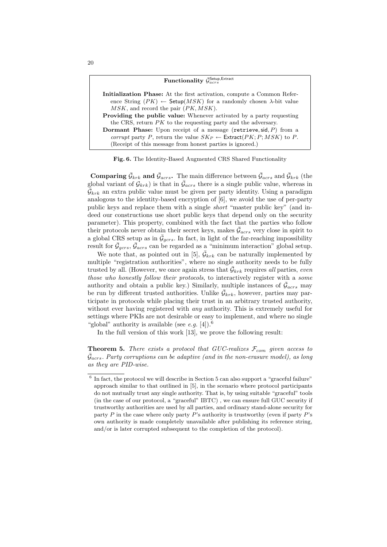# Functionality  $\bar{\mathcal{G}}_{acrs}^{\mathsf{Setup},\mathsf{Extract}}$

| Initialization Phase: At the first activation, compute a Common Refer-                       |
|----------------------------------------------------------------------------------------------|
| ence String $(PK) \leftarrow$ Setup( <i>MSK</i> ) for a randomly chosen $\lambda$ -bit value |
| $MSK$ , and record the pair $(PK, MSK)$ .                                                    |
| <b>Providing the public value:</b> Whenever activated by a party requesting                  |
| the CRS, return $PK$ to the requesting party and the adversary.                              |
| <b>Dormant Phase:</b> Upon receipt of a message (retrieve, sid, $P$ ) from a                 |
| <i>corrupt</i> party P, return the value $SK_P \leftarrow \text{Extract}(PK;P;MSK)$ to P.    |
| (Receipt of this message from honest parties is ignored.)                                    |

Fig. 6. The Identity-Based Augmented CRS Shared Functionality

**Comparing**  $\bar{\mathcal{G}}_{krk}$  and  $\bar{\mathcal{G}}_{acrs}$ . The main difference between  $\bar{\mathcal{G}}_{acrs}$  and  $\bar{\mathcal{G}}_{krk}$  (the global variant of  $\mathcal{G}_{krk}$ ) is that in  $\bar{\mathcal{G}}_{acrs}$  there is a single public value, whereas in  $\bar{\mathcal{G}}_{krk}$  an extra public value must be given per party identity. Using a paradigm analogous to the identity-based encryption of [6], we avoid the use of per-party public keys and replace them with a single short "master public key" (and indeed our constructions use short public keys that depend only on the security parameter). This property, combined with the fact that the parties who follow their protocols never obtain their secret keys, makes  $\bar{\mathcal{G}}_{acrs}$  very close in spirit to a global CRS setup as in  $\bar{\mathcal{G}}_{gcrs}$ . In fact, in light of the far-reaching impossibility result for  $\bar{\mathcal{G}}_{gcrs}$ ,  $\bar{\mathcal{G}}_{acrs}$  can be regarded as a "minimum interaction" global setup.

We note that, as pointed out in [5],  $\bar{\mathcal{G}}_{krk}$  can be naturally implemented by multiple "registration authorities", where no single authority needs to be fully trusted by all. (However, we once again stress that  $\bar{\mathcal{G}}_{krk}$  requires all parties, even those who honestly follow their protocols, to interactively register with a some authority and obtain a public key.) Similarly, multiple instances of  $\bar{\mathcal{G}}_{acrs}$  may be run by different trusted authorities. Unlike  $\bar{\mathcal{G}}_{krk}$ , however, parties may participate in protocols while placing their trust in an arbitrary trusted authority, without ever having registered with *any* authority. This is extremely useful for settings where PKIs are not desirable or easy to implement, and where no single "global" authority is available (see *e.g.* [4]).<sup>6</sup>

In the full version of this work [13], we prove the following result:

**Theorem 5.** There exists a protocol that GUC-realizes  $\mathcal{F}_{com}$  given access to  $\bar{\mathcal{G}}_{acrs}$ . Party corruptions can be adaptive (and in the non-erasure model), as long as they are PID-wise.

<sup>&</sup>lt;sup>6</sup> In fact, the protocol we will describe in Section 5 can also support a "graceful failure" approach similar to that outlined in [5], in the scenario where protocol participants do not mutually trust any single authority. That is, by using suitable "graceful" tools (in the case of our protocol, a "graceful" IBTC) , we can ensure full GUC security if trustworthy authorities are used by all parties, and ordinary stand-alone security for party  $P$  in the case where only party  $P$ 's authority is trustworthy (even if party  $P$ 's own authority is made completely unavailable after publishing its reference string, and/or is later corrupted subsequent to the completion of the protocol).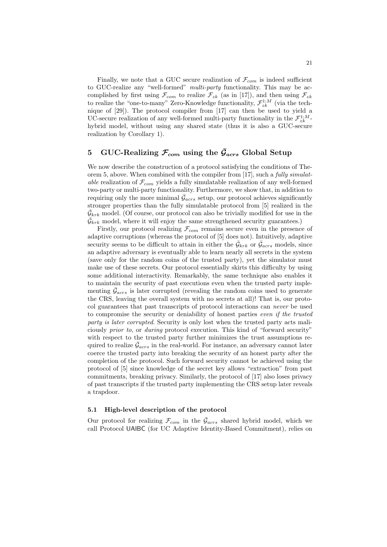Finally, we note that a GUC secure realization of  $\mathcal{F}_{com}$  is indeed sufficient to GUC-realize any "well-formed" multi-party functionality. This may be accomplished by first using  $\mathcal{F}_{com}$  to realize  $\mathcal{F}_{zk}$  (as in [17]), and then using  $\mathcal{F}_{zk}$ to realize the "one-to-many" Zero-Knowledge functionality,  $\mathcal{F}_{zk}^{1:M}$  (via the technique of [29]). The protocol compiler from [17] can then be used to yield a UC-secure realization of any well-formed multi-party functionality in the  $\mathcal{F}_{zk}^{1:M}$ hybrid model, without using any shared state (thus it is also a GUC-secure realization by Corollary 1).

# 5 GUC-Realizing  $\mathcal{F}_{com}$  using the  $\bar{\mathcal{G}}_{acrs}$  Global Setup

We now describe the construction of a protocol satisfying the conditions of Theorem 5, above. When combined with the compiler from [17], such a *fully simulat*able realization of  $\mathcal{F}_{com}$  yields a fully simulatable realization of any well-formed two-party or multi-party functionality. Furthermore, we show that, in addition to requiring only the more minimal  $\bar{\mathcal{G}}_{acrs}$  setup, our protocol achieves significantly stronger properties than the fully simulatable protocol from [5] realized in the  $\bar{G}_{krk}$  model. (Of course, our protocol can also be trivially modified for use in the  $\bar{\mathcal{G}}_{krk}$  model, where it will enjoy the same strengthened security guarantees.)

Firstly, our protocol realizing  $\mathcal{F}_{com}$  remains secure even in the presence of adaptive corruptions (whereas the protocol of [5] does not). Intuitively, adaptive security seems to be difficult to attain in either the  $\bar{\mathcal{G}}_{krk}$  or  $\bar{\mathcal{G}}_{acrs}$  models, since an adaptive adversary is eventually able to learn nearly all secrets in the system (save only for the random coins of the trusted party), yet the simulator must make use of these secrets. Our protocol essentially skirts this difficulty by using some additional interactivity. Remarkably, the same technique also enables it to maintain the security of past executions even when the trusted party implementing  $\bar{\mathcal{G}}_{acrs}$  is later corrupted (revealing the random coins used to generate the CRS, leaving the overall system with no secrets at all)! That is, our protocol guarantees that past transcripts of protocol interactions can never be used to compromise the security or deniability of honest parties even if the trusted party is later corrupted. Security is only lost when the trusted party acts maliciously prior to, or during protocol execution. This kind of "forward security" with respect to the trusted party further minimizes the trust assumptions required to realize  $\bar{\mathcal{G}}_{acrs}$  in the real-world. For instance, an adversary cannot later coerce the trusted party into breaking the security of an honest party after the completion of the protocol. Such forward security cannot be achieved using the protocol of [5] since knowledge of the secret key allows "extraction" from past commitments, breaking privacy. Similarly, the protocol of [17] also loses privacy of past transcripts if the trusted party implementing the CRS setup later reveals a trapdoor.

## 5.1 High-level description of the protocol

Our protocol for realizing  $\mathcal{F}_{com}$  in the  $\bar{\mathcal{G}}_{acrs}$  shared hybrid model, which we call Protocol UAIBC (for UC Adaptive Identity-Based Commitment), relies on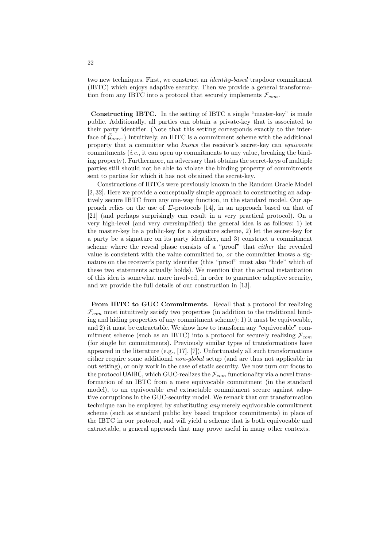two new techniques. First, we construct an *identity-based* trapdoor commitment (IBTC) which enjoys adaptive security. Then we provide a general transformation from any IBTC into a protocol that securely implements  $\mathcal{F}_{com}$ .

Constructing IBTC. In the setting of IBTC a single "master-key" is made public. Additionally, all parties can obtain a private-key that is associated to their party identifier. (Note that this setting corresponds exactly to the interface of  $\bar{\mathcal{G}}_{acrs}$ .) Intuitively, an IBTC is a commitment scheme with the additional property that a committer who knows the receiver's secret-key can equivocate commitments  $(i.e., it can open up commitments to any value, breaking the bind$ ing property). Furthermore, an adversary that obtains the secret-keys of multiple parties still should not be able to violate the binding property of commitments sent to parties for which it has not obtained the secret-key.

Constructions of IBTCs were previously known in the Random Oracle Model [2, 32]. Here we provide a conceptually simple approach to constructing an adaptively secure IBTC from any one-way function, in the standard model. Our approach relies on the use of  $\Sigma$ -protocols [14], in an approach based on that of [21] (and perhaps surprisingly can result in a very practical protocol). On a very high-level (and very oversimplified) the general idea is as follows: 1) let the master-key be a public-key for a signature scheme, 2) let the secret-key for a party be a signature on its party identifier, and 3) construct a commitment scheme where the reveal phase consists of a "proof" that either the revealed value is consistent with the value committed to, or the committer knows a signature on the receiver's party identifier (this "proof" must also "hide" which of these two statements actually holds). We mention that the actual instantiation of this idea is somewhat more involved, in order to guarantee adaptive security, and we provide the full details of our construction in [13].

From IBTC to GUC Commitments. Recall that a protocol for realizing  $\mathcal{F}_{com}$  must intuitively satisfy two properties (in addition to the traditional binding and hiding properties of any commitment scheme): 1) it must be equivocable, and 2) it must be extractable. We show how to transform any "equivocable" commitment scheme (such as an IBTC) into a protocol for securely realizing  $\mathcal{F}_{com}$ (for single bit commitments). Previously similar types of transformations have appeared in the literature (e.g., [17], [7]). Unfortunately all such transformations either require some additional non-global setup (and are thus not applicable in out setting), or only work in the case of static security. We now turn our focus to the protocol UAIBC, which GUC-realizes the  $\mathcal{F}_{com}$  functionality via a novel transformation of an IBTC from a mere equivocable commitment (in the standard model), to an equivocable *and* extractable commitment secure against adaptive corruptions in the GUC-security model. We remark that our transformation technique can be employed by substituting any merely equivocable commitment scheme (such as standard public key based trapdoor commitments) in place of the IBTC in our protocol, and will yield a scheme that is both equivocable and extractable, a general approach that may prove useful in many other contexts.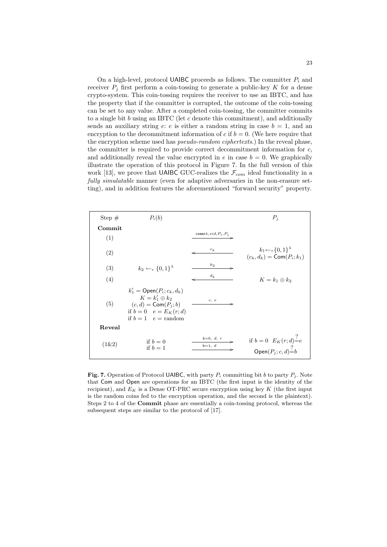On a high-level, protocol UAIBC proceeds as follows. The committer  $P_i$  and receiver  $P_j$  first perform a coin-tossing to generate a public-key K for a dense crypto-system. This coin-tossing requires the receiver to use an IBTC, and has the property that if the committer is corrupted, the outcome of the coin-tossing can be set to any value. After a completed coin-tossing, the committer commits to a single bit  $b$  using an IBTC (let  $c$  denote this commitment), and additionally sends an auxiliary string e: e is either a random string in case  $b = 1$ , and an encryption to the decommitment information of c if  $b = 0$ . (We here require that the encryption scheme used has *pseudo-random ciphertexts*.) In the reveal phase, the committer is required to provide correct decommitment information for  $c$ , and additionally reveal the value encrypted in e in case  $b = 0$ . We graphically illustrate the operation of this protocol in Figure 7. In the full version of this work [13], we prove that UAIBC GUC-realizes the  $\mathcal{F}_{com}$  ideal functionality in a fully simulatable manner (even for adaptive adversaries in the non-erasure setting), and in addition features the aforementioned "forward security" property.



Fig. 7. Operation of Protocol UAIBC, with party  $P_i$  committing bit b to party  $P_j$ . Note that Com and Open are operations for an IBTC (the first input is the identity of the recipient), and  $E_K$  is a Dense OT-PRC secure encryption using key  $K$  (the first input is the random coins fed to the encryption operation, and the second is the plaintext). Steps 2 to 4 of the Commit phase are essentially a coin-tossing protocol, whereas the subsequent steps are similar to the protocol of [17].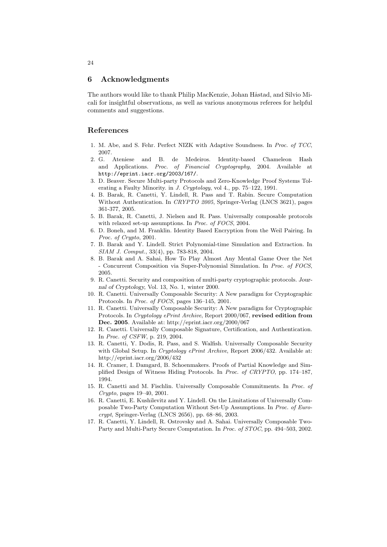### 6 Acknowledgments

The authors would like to thank Philip MacKenzie, Johan Håstad, and Silvio Micali for insightful observations, as well as various anonymous referees for helpful comments and suggestions.

## References

- 1. M. Abe, and S. Fehr. Perfect NIZK with Adaptive Soundness. In Proc. of TCC, 2007.
- 2. G. Ateniese and B. de Medeiros. Identity-based Chameleon Hash and Applications. Proc. of Financial Cryptography, 2004. Available at http://eprint.iacr.org/2003/167/.
- 3. D. Beaver. Secure Multi-party Protocols and Zero-Knowledge Proof Systems Tolerating a Faulty Minority. in J. Cryptology, vol 4., pp. 75–122, 1991.
- 4. B. Barak, R. Canetti, Y. Lindell, R. Pass and T. Rabin. Secure Computation Without Authentication. In CRYPTO 2005, Springer-Verlag (LNCS 3621), pages 361-377, 2005.
- 5. B. Barak, R. Canetti, J. Nielsen and R. Pass. Universally composable protocols with relaxed set-up assumptions. In Proc. of FOCS, 2004.
- 6. D. Boneh, and M. Franklin. Identity Based Encryption from the Weil Pairing. In Proc. of Crypto, 2001.
- 7. B. Barak and Y. Lindell. Strict Polynomial-time Simulation and Extraction. In SIAM J. Comput., 33(4), pp. 783-818, 2004.
- 8. B. Barak and A. Sahai, How To Play Almost Any Mental Game Over the Net - Concurrent Composition via Super-Polynomial Simulation. In Proc. of FOCS, 2005.
- 9. R. Canetti. Security and composition of multi-party cryptographic protocols. Journal of Cryptology, Vol. 13, No. 1, winter 2000.
- 10. R. Canetti. Universally Composable Security: A New paradigm for Cryptographic Protocols. In Proc. of FOCS, pages 136–145, 2001.
- 11. R. Canetti. Universally Composable Security: A New paradigm for Cryptographic Protocols. In Cryptology ePrint Archive, Report 2000/067, revised edition from Dec. 2005. Available at: http://eprint.iacr.org/2000/067
- 12. R. Canetti. Universally Composable Signature, Certification, and Authentication. In Proc. of CSFW, p. 219, 2004.
- 13. R. Canetti, Y. Dodis, R. Pass, and S. Walfish. Universally Composable Security with Global Setup. In Cryptology ePrint Archive, Report 2006/432. Available at: http://eprint.iacr.org/2006/432
- 14. R. Cramer, I. Damgard, B. Schoenmakers. Proofs of Partial Knowledge and Simplified Design of Witness Hiding Protocols. In Proc. of CRYPTO, pp. 174–187, 1994.
- 15. R. Canetti and M. Fischlin. Universally Composable Commitments. In Proc. of Crypto, pages 19–40, 2001.
- 16. R. Canetti, E. Kushilevitz and Y. Lindell. On the Limitations of Universally Composable Two-Party Computation Without Set-Up Assumptions. In Proc. of Eurocrypt, Springer-Verlag (LNCS 2656), pp. 68–86, 2003.
- 17. R. Canetti, Y. Lindell, R. Ostrovsky and A. Sahai. Universally Composable Two-Party and Multi-Party Secure Computation. In Proc. of STOC, pp. 494–503, 2002.

24